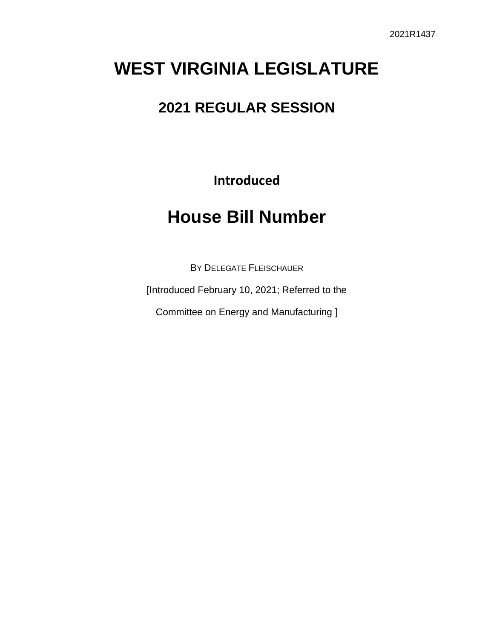# **WEST VIRGINIA LEGISLATURE**

## **2021 REGULAR SESSION**

**Introduced**

# **House Bill Number**

BY DELEGATE FLEISCHAUER

[Introduced February 10, 2021; Referred to the

Committee on Energy and Manufacturing ]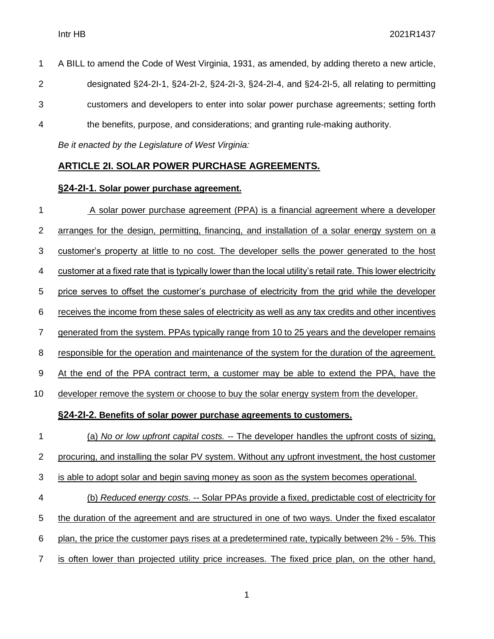A BILL to amend the Code of West Virginia, 1931, as amended, by adding thereto a new article, designated §24-2I-1, §24-2I-2, §24-2I-3, §24-2I-4, and §24-2I-5, all relating to permitting customers and developers to enter into solar power purchase agreements; setting forth the benefits, purpose, and considerations; and granting rule-making authority.

*Be it enacted by the Legislature of West Virginia:*

#### **ARTICLE 2I. SOLAR POWER PURCHASE AGREEMENTS.**

#### **§24-2I-1. Solar power purchase agreement.**

1 A solar power purchase agreement (PPA) is a financial agreement where a developer 2 arranges for the design, permitting, financing, and installation of a solar energy system on a 3 customer's property at little to no cost. The developer sells the power generated to the host 4 customer at a fixed rate that is typically lower than the local utility's retail rate. This lower electricity 5 price serves to offset the customer's purchase of electricity from the grid while the developer 6 receives the income from these sales of electricity as well as any tax credits and other incentives 7 generated from the system. PPAs typically range from 10 to 25 years and the developer remains 8 responsible for the operation and maintenance of the system for the duration of the agreement. 9 At the end of the PPA contract term, a customer may be able to extend the PPA, have the 10 developer remove the system or choose to buy the solar energy system from the developer. **§24-2I-2. Benefits of solar power purchase agreements to customers.** 1 (a) *No or low upfront capital costs.* -- The developer handles the upfront costs of sizing, 2 procuring, and installing the solar PV system. Without any upfront investment, the host customer 3 is able to adopt solar and begin saving money as soon as the system becomes operational. 4 (b) *Reduced energy costs.* -- Solar PPAs provide a fixed, predictable cost of electricity for 5 the duration of the agreement and are structured in one of two ways. Under the fixed escalator 6 plan, the price the customer pays rises at a predetermined rate, typically between 2% - 5%. This 7 is often lower than projected utility price increases. The fixed price plan, on the other hand,

1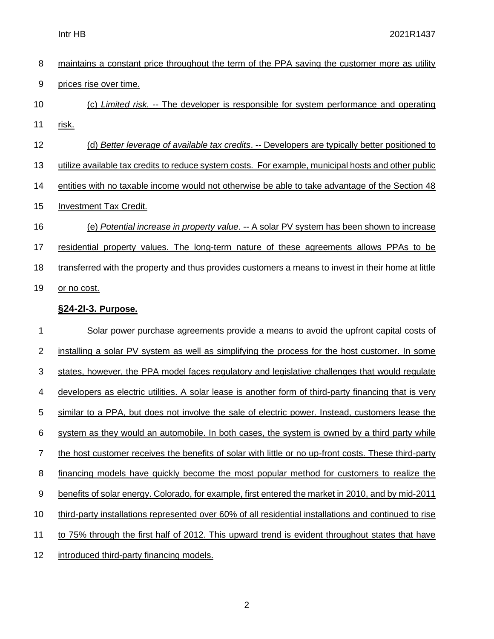| 8                | maintains a constant price throughout the term of the PPA saving the customer more as utility         |
|------------------|-------------------------------------------------------------------------------------------------------|
| $\boldsymbol{9}$ | prices rise over time.                                                                                |
| 10               | (c) Limited risk. -- The developer is responsible for system performance and operating                |
| 11               | <u>risk.</u>                                                                                          |
| 12               | (d) Better leverage of available tax credits. -- Developers are typically better positioned to        |
| 13               | utilize available tax credits to reduce system costs. For example, municipal hosts and other public   |
| 14               | entities with no taxable income would not otherwise be able to take advantage of the Section 48       |
| 15               | <b>Investment Tax Credit.</b>                                                                         |
| 16               | (e) Potential increase in property value. -- A solar PV system has been shown to increase             |
| 17               | residential property values. The long-term nature of these agreements allows PPAs to be               |
| 18               | transferred with the property and thus provides customers a means to invest in their home at little   |
| 19               | or no cost.                                                                                           |
|                  | §24-21-3. Purpose.                                                                                    |
| 1                | Solar power purchase agreements provide a means to avoid the upfront capital costs of                 |
| $\overline{c}$   | installing a solar PV system as well as simplifying the process for the host customer. In some        |
| 3                | states, however, the PPA model faces regulatory and legislative challenges that would regulate        |
| 4                | developers as electric utilities. A solar lease is another form of third-party financing that is very |
|                  |                                                                                                       |
| 5                | similar to a PPA, but does not involve the sale of electric power. Instead, customers lease the       |
| 6                | system as they would an automobile. In both cases, the system is owned by a third party while         |
| $\overline{7}$   | the host customer receives the benefits of solar with little or no up-front costs. These third-party  |
| 8                | financing models have quickly become the most popular method for customers to realize the             |
| 9                | benefits of solar energy. Colorado, for example, first entered the market in 2010, and by mid-2011    |
| 10               | third-party installations represented over 60% of all residential installations and continued to rise |
| 11               | to 75% through the first half of 2012. This upward trend is evident throughout states that have       |

12 introduced third-party financing models.

2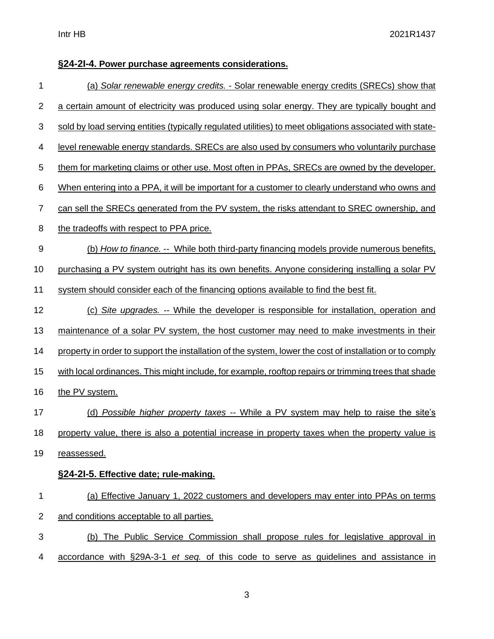### **§24-2I-4. Power purchase agreements considerations.**

| 1              | (a) Solar renewable energy credits. - Solar renewable energy credits (SRECs) show that                   |
|----------------|----------------------------------------------------------------------------------------------------------|
| 2              | a certain amount of electricity was produced using solar energy. They are typically bought and           |
| 3              | sold by load serving entities (typically regulated utilities) to meet obligations associated with state- |
| 4              | level renewable energy standards. SRECs are also used by consumers who voluntarily purchase              |
| 5              | them for marketing claims or other use. Most often in PPAs, SRECs are owned by the developer.            |
| 6              | When entering into a PPA, it will be important for a customer to clearly understand who owns and         |
| 7              | can sell the SRECs generated from the PV system, the risks attendant to SREC ownership, and              |
| 8              | the tradeoffs with respect to PPA price.                                                                 |
| 9              | (b) How to finance. -- While both third-party financing models provide numerous benefits,                |
| 10             | purchasing a PV system outright has its own benefits. Anyone considering installing a solar PV           |
| 11             | system should consider each of the financing options available to find the best fit.                     |
| 12             | (c) Site upgrades. -- While the developer is responsible for installation, operation and                 |
| 13             | maintenance of a solar PV system, the host customer may need to make investments in their                |
| 14             | property in order to support the installation of the system, lower the cost of installation or to comply |
| 15             | with local ordinances. This might include, for example, rooftop repairs or trimming trees that shade     |
| 16             | the PV system.                                                                                           |
| 17             | (d) Possible higher property taxes -- While a PV system may help to raise the site's                     |
| 18             | property value, there is also a potential increase in property taxes when the property value is          |
| 19             | reassessed.                                                                                              |
|                | §24-21-5. Effective date; rule-making.                                                                   |
| 1              | (a) Effective January 1, 2022 customers and developers may enter into PPAs on terms                      |
| $\overline{2}$ | and conditions acceptable to all parties.                                                                |
| 3              | (b) The Public Service Commission shall propose rules for legislative approval in                        |
| 4              | accordance with §29A-3-1 et seq. of this code to serve as guidelines and assistance in                   |